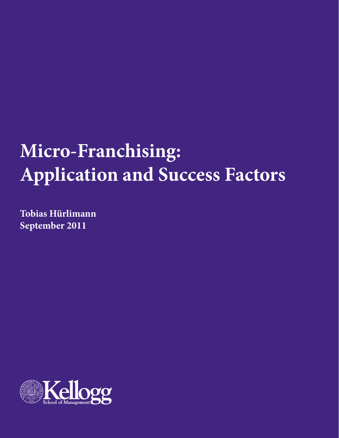# **Micro-Franchising: Application and Success Factors**

**Tobias Hürlimann September 2011**

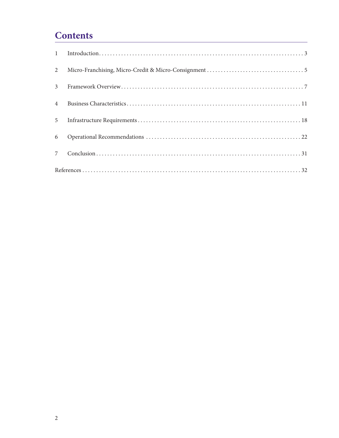# **Contents**

| $2^{\circ}$    |  |  |  |
|----------------|--|--|--|
| 3 <sup>7</sup> |  |  |  |
| $\overline{4}$ |  |  |  |
| 5 <sup>5</sup> |  |  |  |
|                |  |  |  |
| 7 <sup>7</sup> |  |  |  |
|                |  |  |  |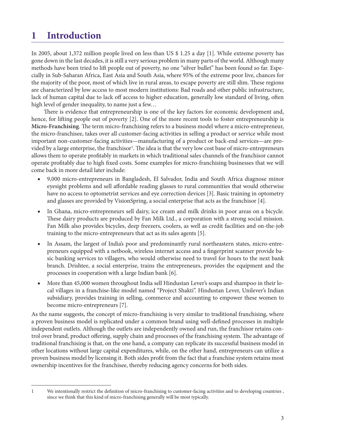# <span id="page-2-0"></span>**1 Introduction**

In 2005, about 1,372 million people lived on less than US \$ 1.25 a day [\[1\].](#page-31-1) While extreme poverty has gone down in the last decades, it is still a very serious problem in many parts of the world. Although many methods have been tried to lift people out of poverty, no one "silver bullet" has been found so far. Especially in Sub-Saharan Africa, East Asia and South Asia, where 95% of the extreme poor live, chances for the majority of the poor, most of which live in rural areas, to escape poverty are still slim. These regions are characterized by low access to most modern institutions: Bad roads and other public infrastructure, lack of human capital due to lack off access to higher education, generally low standard of living, often high level of gender inequality, to name just a few…

There is evidence that entrepreneurship is one of the key factors for economic development and, hence, for lifting people out of poverty [\[2\].](#page-31-2) One of the more recent tools to foster entrepreneurship is **Micro-Franchising**. The term micro-franchising refers to a business model where a micro-entrepreneur, the micro-franchisee, takes over all customer-facing activities in selling a product or service while most important non-customer-facing activities—manufacturing of a product or back-end services—are provided by a large enterprise, the franchisor<sup>1</sup>. The idea is that the very low cost base of micro-entrepreneurs allows them to operate profitably in markets in which traditional sales channels of the franchisor cannot operate profitably due to high fixed costs. Some examples for micro-franchising businesses that we will come back in more detail later include:

- 9,000 micro-entrepreneurs in Bangladesh, El Salvador, India and South Africa diagnose minor eyesight problems and sell affordable reading glasses to rural communities that would otherwise have no access to optometrist services and eye correction devices [\[3\]](#page-31-3). Basic training in optometry and glasses are provided by VisionSpring, a social enterprise that acts as the franchisor [\[4\].](#page-31-4)
- In Ghana, micro-entrepreneurs sell dairy, ice cream and milk drinks in poor areas on a bicycle. These dairy products are produced by Fan Milk Ltd., a corporation with a strong social mission. Fan Milk also provides bicycles, deep freezers, coolers, as well as credit facilities and on-the-job training to the micro-entrepreneurs that act as its sales agents [\[5\].](#page-31-5)
- In Assam, the largest of India's poor and predominantly rural northeastern states, micro-entrepreneurs equipped with a netbook, wireless internet access and a fingerprint scanner provide basic banking services to villagers, who would otherwise need to travel for hours to the next bank branch. Drishtee, a social enterprise, trains the entrepreneurs, provides the equipment and the processes in cooperation with a large Indian bank [\[6\].](#page-31-6)
- More than 45,000 women throughout India sell Hindustan Lever's soaps and shampoo in their local villages in a franchise-like model named "Project Shakti". Hindustan Lever, Unilever's Indian subsidiary, provides training in selling, commerce and accounting to empower these women to become micro-entrepreneurs [\[7\]](#page-31-7).

As the name suggests, the concept of micro-franchising is very similar to traditional franchising, where a proven business model is replicated under a common brand using well-defined processes in multiple independent outlets. Although the outlets are independently owned and run, the franchisor retains control over brand, product offering, supply chain and processes of the franchising system. The advantage of traditional franchising is that, on the one hand, a company can replicate its successful business model in other locations without large capital expenditures, while, on the other hand, entrepreneurs can utilize a proven business model by licensing it. Both sides profit from the fact that a franchise system retains most ownership incentives for the franchisee, thereby reducing agency concerns for both sides.

<sup>1</sup> We intentionally restrict the definition of micro-franchising to customer-facing activities and to developing countries , since we think that this kind of micro-franchising generally will be most typically.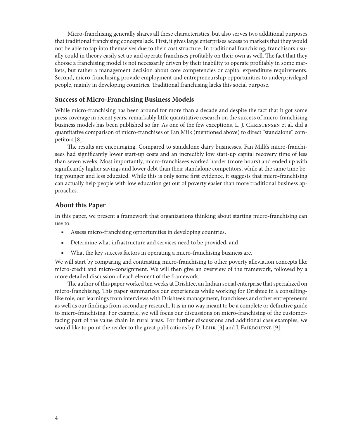Micro-franchising generally shares all these characteristics, but also serves two additional purposes that traditional franchising concepts lack. First, it gives large enterprises access to markets that they would not be able to tap into themselves due to their cost structure. In traditional franchising, franchisors usually could in theory easily set up and operate franchises profitably on their own as well. The fact that they choose a franchising model is not necessarily driven by their inability to operate profitably in some markets, but rather a management decision about core competencies or capital expenditure requirements. Second, micro-franchising provide employment and entrepreneurship opportunities to underprivileged people, mainly in developing countries. Traditional franchising lacks this social purpose.

#### **Success of Micro-Franchising Business Models**

While micro-franchising has been around for more than a decade and despite the fact that it got some press coverage in recent years, remarkably little quantitative research on the success of micro-franchising business models has been published so far. As one of the few exceptions, L. J. Christensen et al. did a quantitative comparison of micro-franchises of Fan Milk (mentioned above) to direct "standalone" competitors [\[8\]](#page-31-8).

The results are encouraging. Compared to standalone dairy businesses, Fan Milk's micro-franchisees had significantly lower start-up costs and an incredibly low start-up capital recovery time of less than seven weeks. Most importantly, micro-franchisees worked harder (more hours) and ended up with significantly higher savings and lower debt than their standalone competitors, while at the same time being younger and less educated. While this is only some first evidence, it suggests that micro-franchising can actually help people with low education get out of poverty easier than more traditional business approaches.

## **About this Paper**

In this paper, we present a framework that organizations thinking about starting micro-franchising can use to:

- Assess micro-franchising opportunities in developing countries,
- Determine what infrastructure and services need to be provided, and
- What the key success factors in operating a micro-franchising business are.

We will start by comparing and contrasting micro-franchising to other poverty alleviation concepts like micro-credit and micro-consignment. We will then give an overview of the framework, followed by a more detailed discussion of each element of the framework.

The author of this paper worked ten weeks at Drishtee, an Indian social enterprise that specialized on micro-franchising. This paper summarizes our experiences while working for Drishtee in a consultinglike role, our learnings from interviews with Drishtee's management, franchisees and other entrepreneurs as well as our findings from secondary research. It is in no way meant to be a complete or definitive guide to micro-franchising. For example, we will focus our discussions on micro-franchising of the customerfacing part of the value chain in rural areas. For further discussions and additional case examples, we would like to point the reader to the great publications by  $D$ . LEHR [\[3\]](#page-31-3) and J. FAIRBOURNE [\[9\]](#page-31-9).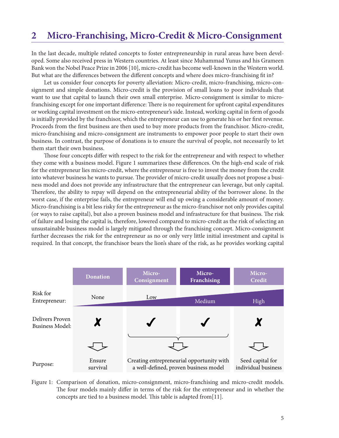# <span id="page-4-0"></span>**2 Micro-Franchising, Micro-Credit & Micro-Consignment**

In the last decade, multiple related concepts to foster entrepreneurship in rural areas have been developed. Some also received press in Western countries. At least since Muhammad Yunus and his Grameen Bank won the Nobel Peace Prize in 2006 [\[10\],](#page-31-10) micro-credit has become well-known in the Western world. But what are the differences between the different concepts and where does micro-franchising fit in?

Let us consider four concepts for poverty alleviation: Micro-credit, micro-franchising, micro-consignment and simple donations. Micro-credit is the provision of small loans to poor individuals that want to use that capital to launch their own small enterprise. Micro-consignment is similar to microfranchising except for one important difference: There is no requirement for upfront capital expenditures or working capital investment on the micro-entrepreneur's side. Instead, working capital in form of goods is initially provided by the franchisor, which the entrepreneur can use to generate his or her first revenue. Proceeds from the first business are then used to buy more products from the franchisor. Micro-credit, micro-franchising and micro-consignment are instruments to empower poor people to start their own business. In contrast, the purpose of donations is to ensure the survival of people, not necessarily to let them start their own business.

Those four concepts differ with respect to the risk for the entrepreneur and with respect to whether they come with a business model. [Figure 1](#page-4-1) summarizes these differences. On the high-end scale of risk for the entrepreneur lies micro-credit, where the entrepreneur is free to invest the money from the credit into whatever business he wants to pursue. The provider of micro-credit usually does not propose a business model and does not provide any infrastructure that the entrepreneur can leverage, but only capital. Therefore, the ability to repay will depend on the entrepreneurial ability of the borrower alone. In the worst case, if the enterprise fails, the entrepreneur will end up owing a considerable amount of money. Micro-franchising is a bit less risky for the entrepreneur as the micro-franchisor not only provides capital (or ways to raise capital), but also a proven business model and infrastructure for that business. The risk of failure and losing the capital is, therefore, lowered compared to micro-credit as the risk of selecting an unsustainable business model is largely mitigated through the franchising concept. Micro-consignment further decreases the risk for the entrepreneur as no or only very little initial investment and capital is required. In that concept, the franchisor bears the lion's share of the risk, as he provides working capital



<span id="page-4-1"></span>Figure 1: Comparison of donation, micro-consignment, micro-franchising and micro-credit models. The four models mainly differ in terms of the risk for the entrepreneur and in whether the concepts are tied to a business model. This table is adapted from[\[11\].](#page-31-11)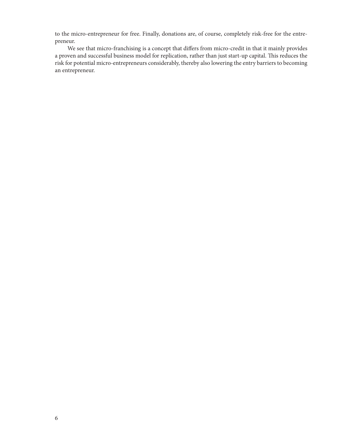to the micro-entrepreneur for free. Finally, donations are, of course, completely risk-free for the entrepreneur.

We see that micro-franchising is a concept that differs from micro-credit in that it mainly provides a proven and successful business model for replication, rather than just start-up capital. This reduces the risk for potential micro-entrepreneurs considerably, thereby also lowering the entry barriers to becoming an entrepreneur.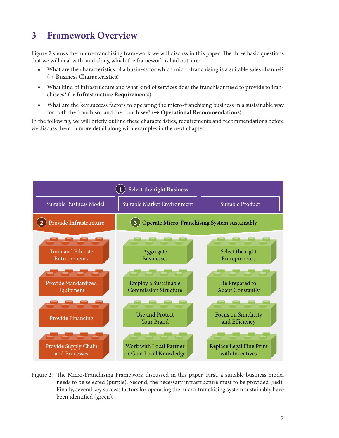# <span id="page-6-0"></span>**3 Framework Overview**

[Figure 2](#page-6-1) shows the micro-franchising framework we will discuss in this paper. The three basic questions that we will deal with, and along which the framework is laid out, are:

- What are the characteristics of a business for which micro-franchising is a suitable sales channel? (**→ Business Characteristics**)
- What kind of infrastructure and what kind of services does the franchisor need to provide to franchisees? (**→ Infrastructure Requirements**)
- What are the key success factors to operating the micro-franchising business in a sustainable way for both the franchisor and the franchisee? (**→ Operational Recommendations**)

In the following, we will briefly outline these characteristics, requirements and recommendations before we discuss them in more detail along with examples in the next chapter.



<span id="page-6-1"></span>Figure 2: The Micro-Franchising Framework discussed in this paper. First, a suitable business model needs to be selected (purple). Second, the necessary infrastructure must to be provided (red). Finally, several key success factors for operating the micro-franchising system sustainably have been identified (green).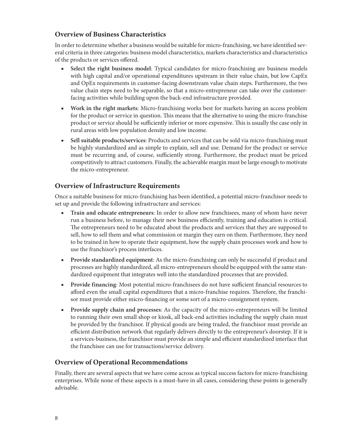## **Overview of Business Characteristics**

In order to determine whether a business would be suitable for micro-franchising, we have identified several criteria in three categories: business model characteristics, markets characteristics and characteristics of the products or services offered.

- Select the right business model: Typical candidates for micro-franchising are business models with high capital and/or operational expenditures upstream in their value chain, but low CapEx and OpEx requirements in customer-facing downstream value chain steps. Furthermore, the two value chain steps need to be separable, so that a micro-entrepreneur can take over the customerfacing activities while building upon the back-end infrastructure provided.
- **Work in the right markets**: Micro-franchising works best for markets having an access problem for the product or service in question. This means that the alternative to using the micro-franchise product or service should be sufficiently inferior or more expensive. This is usually the case only in rural areas with low population density and low income.
- **Sell suitable products/services**: Products and services that can be sold via micro-franchising must be highly standardized and as simple to explain, sell and use. Demand for the product or service must be recurring and, of course, sufficiently strong. Furthermore, the product must be priced competitively to attract customers. Finally, the achievable margin must be large enough to motivate the micro-entrepreneur.

## **Overview of Infrastructure Requirements**

Once a suitable business for micro-franchising has been identified, a potential micro-franchisor needs to set up and provide the following infrastructure and services:

- **Train and educate entrepreneurs**: In order to allow new franchisees, many of whom have never run a business before, to manage their new business efficiently, training and education is critical. The entrepreneurs need to be educated about the products and services that they are supposed to sell, how to sell them and what commission or margin they earn on them. Furthermore, they need to be trained in how to operate their equipment, how the supply chain processes work and how to use the franchisor's process interfaces.
- **Provide standardized equipment**: As the micro-franchising can only be successful if product and processes are highly standardized, all micro-entrepreneurs should be equipped with the same standardized equipment that integrates well into the standardized processes that are provided.
- **Provide financing**: Most potential micro-franchisees do not have sufficient financial resources to afford even the small capital expenditures that a micro-franchise requires. Therefore, the franchisor must provide either micro-financing or some sort of a micro-consignment system.
- **Provide supply chain and processes**: As the capacity of the micro-entrepreneurs will be limited to running their own small shop or kiosk, all back-end activities including the supply chain must be provided by the franchisor. If physical goods are being traded, the franchisor must provide an efficient distribution network that regularly delivers directly to the entrepreneur's doorstep. If it is a services-business, the franchisor must provide an simple and efficient standardized interface that the franchisee can use for transactions/service delivery.

## **Overview of Operational Recommendations**

Finally, there are several aspects that we have come across as typical success factors for micro-franchising enterprises. While none of these aspects is a must-have in all cases, considering these points is generally advisable.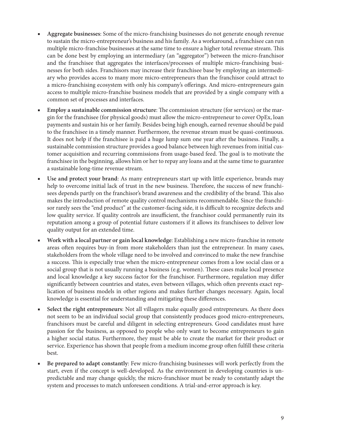- Aggregate businesses: Some of the micro-franchising businesses do not generate enough revenue to sustain the micro-entrepreneur's business and his family. As a workaround, a franchisee can run multiple micro-franchise businesses at the same time to ensure a higher total revenue stream. This can be done best by employing an intermediary (an "aggregator") between the micro-franchisor and the franchisee that aggregates the interfaces/processes of multiple micro-franchising businesses for both sides. Franchisors may increase their franchisee base by employing an intermediary who provides access to many more micro-entrepreneurs than the franchisor could attract to a micro-franchising ecosystem with only his company's offerings. And micro-entrepreneurs gain access to multiple micro-franchise business models that are provided by a single company with a common set of processes and interfaces.
- **Employ a sustainable commission structure:** The commission structure (for services) or the margin for the franchisee (for physical goods) must allow the micro-entrepreneur to cover OpEx, loan payments and sustain his or her family. Besides being high enough, earned revenue should be paid to the franchisee in a timely manner. Furthermore, the revenue stream must be quasi-continuous. It does not help if the franchisee is paid a huge lump sum one year after the business. Finally, a sustainable commission structure provides a good balance between high revenues from initial customer acquisition and recurring commissions from usage-based feed. The goal is to motivate the franchisee in the beginning, allows him or her to repay any loans and at the same time to guarantee a sustainable long-time revenue stream.
- Use and protect your brand: As many entrepreneurs start up with little experience, brands may help to overcome initial lack of trust in the new business. Therefore, the success of new franchisees depends partly on the franchisor's brand awareness and the credibility of the brand. This also makes the introduction of remote quality control mechanisms recommendable. Since the franchisor rarely sees the "end product" at the customer-facing side, it is difficult to recognize defects and low quality service. If quality controls are insufficient, the franchisor could permanently ruin its reputation among a group of potential future customers if it allows its franchisees to deliver low quality output for an extended time.
- Work with a local partner or gain local knowledge: Establishing a new micro-franchise in remote areas often requires buy-in from more stakeholders than just the entrepreneur. In many cases, stakeholders from the whole village need to be involved and convinced to make the new franchise a success. This is especially true when the micro-entrepreneur comes from a low social class or a social group that is not usually running a business (e.g. women). These cases make local presence and local knowledge a key success factor for the franchisor. Furthermore, regulation may differ significantly between countries and states, even between villages, which often prevents exact replication of business models in other regions and makes further changes necessary. Again, local knowledge is essential for understanding and mitigating these differences.
- Select the right entrepreneurs: Not all villagers make equally good entrepreneurs. As there does not seem to be an individual social group that consistently produces good micro-entrepreneurs, franchisors must be careful and diligent in selecting entrepreneurs. Good candidates must have passion for the business, as opposed to people who only want to become entrepreneurs to gain a higher social status. Furthermore, they must be able to create the market for their product or service. Experience has shown that people from a medium income group often fulfill these criteria best.
- Be prepared to adapt constantly: Few micro-franchising businesses will work perfectly from the start, even if the concept is well-developed. As the environment in developing countries is unpredictable and may change quickly, the micro-franchisor must be ready to constantly adapt the system and processes to match unforeseen conditions. A trial-and-error approach is key.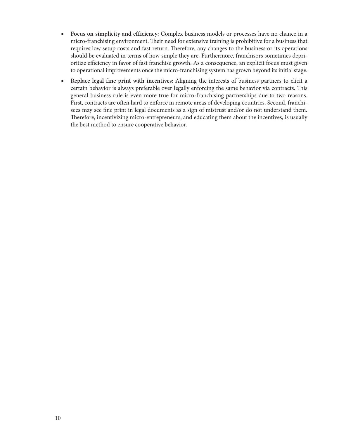- **Focus on simplicity and efficiency**: Complex business models or processes have no chance in a micro-franchising environment. Their need for extensive training is prohibitive for a business that requires low setup costs and fast return. Therefore, any changes to the business or its operations should be evaluated in terms of how simple they are. Furthermore, franchisors sometimes deprioritize efficiency in favor of fast franchise growth. As a consequence, an explicit focus must given to operational improvements once the micro-franchising system has grown beyond its initial stage.
- **Replace legal fine print with incentives**: Aligning the interests of business partners to elicit a certain behavior is always preferable over legally enforcing the same behavior via contracts. This general business rule is even more true for micro-franchising partnerships due to two reasons. First, contracts are often hard to enforce in remote areas of developing countries. Second, franchisees may see fine print in legal documents as a sign of mistrust and/or do not understand them. Therefore, incentivizing micro-entrepreneurs, and educating them about the incentives, is usually the best method to ensure cooperative behavior.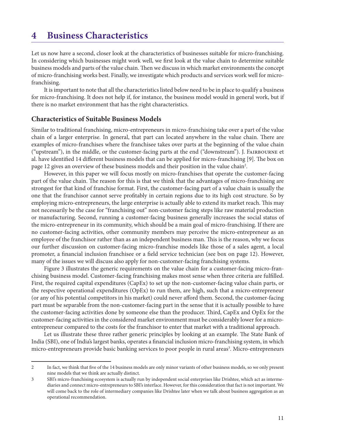# <span id="page-10-0"></span>**4 Business Characteristics**

Let us now have a second, closer look at the characteristics of businesses suitable for micro-franchising. In considering which businesses might work well, we first look at the value chain to determine suitable business models and parts of the value chain. Then we discuss in which market environments the concept of micro-franchising works best. Finally, we investigate which products and services work well for microfranchising.

It is important to note that all the characteristics listed below need to be in place to qualify a business for micro-franchising. It does not help if, for instance, the business model would in general work, but if there is no market environment that has the right characteristics.

#### **Characteristics of Suitable Business Models**

Similar to traditional franchising, micro-entrepreneurs in micro-franchising take over a part of the value chain of a larger enterprise. In general, that part can located anywhere in the value chain. There are examples of micro-franchises where the franchisee takes over parts at the beginning of the value chain ("upstream"), in the middle, or the customer-facing parts at the end ("downstream"). J. Fairbourne et al. have identified 14 different business models that can be applied for micro-franchising [\[9\].](#page-31-9) The box on [page 12](#page-11-0) gives an overview of these business models and their position in the value chain<sup>2</sup>.

However, in this paper we will focus mostly on micro-franchises that operate the customer-facing part of the value chain. The reason for this is that we think that the advantages of micro-franchising are strongest for that kind of franchise format. First, the customer-facing part of a value chain is usually the one that the franchisor cannot serve profitably in certain regions due to its high cost structure. So by employing micro-entrepreneurs, the large enterprise is actually able to extend its market reach. This may not necessarily be the case for "franchising out" non-customer facing steps like raw material production or manufacturing. Second, running a customer-facing business generally increases the social status of the micro-entrepreneur in its community, which should be a main goal of micro-franchising. If there are no customer-facing activities, other community members may perceive the micro-entrepreneur as an employee of the franchisor rather than as an independent business man. This is the reason, why we focus our further discussion on customer-facing micro-franchise models like those of a sales agent, a local promoter, a financial inclusion franchisee or a field service technician (see box on [page 12\)](#page-11-0). However, many of the issues we will discuss also apply for non-customer-facing franchising systems.

[Figure 3](#page-14-0) illustrates the generic requirements on the value chain for a customer-facing micro-franchising business model. Customer-facing franchising makes most sense when three criteria are fulfilled. First, the required capital expenditures (CapEx) to set up the non-customer-facing value chain parts, or the respective operational expenditures (OpEx) to run them, are high, such that a micro-entrepreneur (or any of his potential competitors in his market) could never afford them. Second, the customer-facing part must be separable from the non-customer-facing part in the sense that it is actually possible to have the customer-facing activities done by someone else than the producer. Third, CapEx and OpEx for the customer-facing activities in the considered market environment must be considerably lower for a microentrepreneur compared to the costs for the franchisor to enter that market with a traditional approach.

Let us illustrate these three rather generic principles by looking at an example. The State Bank of India (SBI), one of India's largest banks, operates a financial inclusion micro-franchising system, in which micro-entrepreneurs provide basic banking services to poor people in rural areas<sup>3</sup>. Micro-entrepreneurs

<sup>2</sup> In fact, we think that five of the 14 business models are only minor variants of other business models, so we only present nine models that we think are actually distinct.

<sup>3</sup> SBI's micro-franchising ecosystem is actually run by independent social enterprises like Drishtee, which act as intermediaries and connect micro-entrepreneurs to SBI's interface. However, for this consideration that fact is not important. We will come back to the role of intermediary companies like Drishtee later when we talk about business aggregation as an operational recommendation.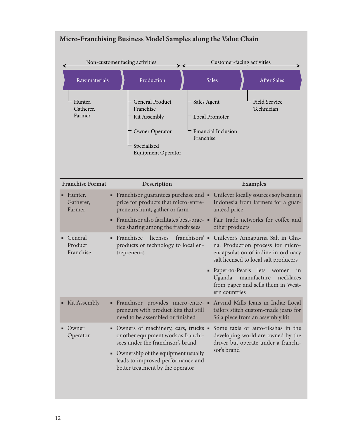|                                           | Non-customer facing activities<br>→ →                                                                                                                                                                                              |                                                                   | Customer-facing activities                                                                                                                                                           |  |
|-------------------------------------------|------------------------------------------------------------------------------------------------------------------------------------------------------------------------------------------------------------------------------------|-------------------------------------------------------------------|--------------------------------------------------------------------------------------------------------------------------------------------------------------------------------------|--|
| Raw materials                             | Production                                                                                                                                                                                                                         | Sales                                                             | <b>After Sales</b>                                                                                                                                                                   |  |
| Hunter,<br>Gatherer,<br>Farmer            | <b>General Product</b><br>Franchise<br>Kit Assembly<br>Owner Operator<br>Specialized<br><b>Equipment Operator</b>                                                                                                                  | Sales Agent<br>Local Promoter<br>Financial Inclusion<br>Franchise | Field Service<br>Technician                                                                                                                                                          |  |
| <b>Franchise Format</b>                   | Description                                                                                                                                                                                                                        |                                                                   | <b>Examples</b>                                                                                                                                                                      |  |
| • Hunter,<br>Gatherer,<br>Farmer          | • Franchisor guarantees purchase and • Unilever locally sources soy beans in<br>price for products that micro-entre-<br>preneurs hunt, gather or farm                                                                              | anteed price                                                      | Indonesia from farmers for a guar-                                                                                                                                                   |  |
|                                           | Franchisor also facilitates best-prac-<br>Ξ<br>tice sharing among the franchisees                                                                                                                                                  | other products                                                    | Fair trade networks for coffee and                                                                                                                                                   |  |
| General<br>П<br>٠<br>Product<br>Franchise | Franchisee<br>licenses<br>products or technology to local en-<br>trepreneurs                                                                                                                                                       | • Paper-to-Pearls lets                                            | franchisors' • Unilever's Annapurna Salt in Gha-<br>na: Production process for micro-<br>encapsulation of iodine in ordinary<br>salt licensed to local salt producers<br>women<br>in |  |
|                                           |                                                                                                                                                                                                                                    | Uganda<br>ern countries                                           | manufacture<br>necklaces<br>from paper and sells them in West-                                                                                                                       |  |
| ■ Kit Assembly                            | · Franchisor provides micro-entre- ·<br>preneurs with product kits that still<br>need to be assembled or finished                                                                                                                  |                                                                   | Arvind Mills Jeans in India: Local<br>tailors stitch custom-made jeans for<br>\$6 a piece from an assembly kit                                                                       |  |
| Owner<br>Operator                         | • Owners of machinery, cars, trucks •<br>or other equipment work as franchi-<br>sees under the franchisor's brand<br>• Ownership of the equipment usually<br>leads to improved performance and<br>better treatment by the operator | sor's brand                                                       | Some taxis or auto-rikshas in the<br>developing world are owned by the<br>driver but operate under a franchi-                                                                        |  |

# <span id="page-11-0"></span>**Micro-Franchising Business Model Samples along the Value Chain**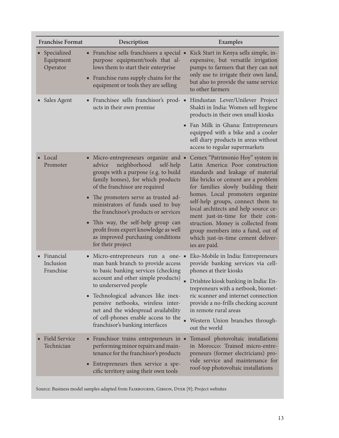| <b>Franchise Format</b>               | Description                                                                                                                                                                                                                                                                                                                                                                                                                                               | <b>Examples</b>                                                                                                                                                                                                                                                                                                                                                                                                                                                              |
|---------------------------------------|-----------------------------------------------------------------------------------------------------------------------------------------------------------------------------------------------------------------------------------------------------------------------------------------------------------------------------------------------------------------------------------------------------------------------------------------------------------|------------------------------------------------------------------------------------------------------------------------------------------------------------------------------------------------------------------------------------------------------------------------------------------------------------------------------------------------------------------------------------------------------------------------------------------------------------------------------|
| Specialized<br>Equipment<br>Operator  | • Franchise sells franchisees a special •<br>purpose equipment/tools that al-<br>lows them to start their enterprise<br>• Franchise runs supply chains for the<br>equipment or tools they are selling                                                                                                                                                                                                                                                     | Kick Start in Kenya sells simple, in-<br>expensive, but versatile irrigation<br>pumps to farmers that they can not<br>only use to irrigate their own land,<br>but also to provide the same service<br>to other farmers                                                                                                                                                                                                                                                       |
| • Sales Agent                         | ucts in their own premise                                                                                                                                                                                                                                                                                                                                                                                                                                 | · Franchisee sells franchisor's prod- · Hindustan Lever/Unilever Project<br>Shakti in India: Women sell hygiene<br>products in their own small kiosks<br>Fan Milk in Ghana: Entrepreneurs<br>equipped with a bike and a cooler<br>sell diary products in areas without<br>access to regular supermarkets                                                                                                                                                                     |
| $\blacksquare$ Local<br>Promoter      | • Micro-entrepreneurs organize and •<br>neighborhood<br>advice<br>self-help<br>groups with a purpose (e.g. to build<br>family homes), for which products<br>of the franchisor are required<br>• The promoters serve as trusted ad-<br>ministrators of funds used to buy<br>the franchisor's products or services<br>• This way, the self-help group can<br>profit from expert knowledge as well<br>as improved purchasing conditions<br>for their project | Cemex "Patrimonio Hoy" system in<br>Latin America: Poor construction<br>standards and leakage of material<br>like bricks or cement are a problem<br>for families slowly building their<br>homes. Local promoters organize<br>self-help groups, connect them to<br>local architects and help source ce-<br>ment just-in-time for their con-<br>struction. Money is collected from<br>group members into a fund, out of<br>which just-in-time cement deliver-<br>ies are paid. |
| · Financial<br>Inclusion<br>Franchise | • Micro-entrepreneurs run a one- •<br>man bank branch to provide access<br>to basic banking services (checking<br>account and other simple products)<br>to underserved people<br>Technological advances like inex-<br>٠<br>pensive netbooks, wireless inter-<br>net and the widespread availability<br>of cell-phones enable access to the<br>franchisor's banking interfaces                                                                             | Eko-Mobile in India: Entrepreneurs<br>provide banking services via cell-<br>phones at their kiosks<br>Drishtee kiosk banking in India: En-<br>trepreneurs with a netbook, biomet-<br>ric scanner and internet connection<br>provide a no-frills checking account<br>in remote rural areas<br>Western Union branches through-<br>out the world                                                                                                                                |
| <b>Field Service</b><br>Technician    | • Franchisor trains entrepreneurs in •<br>performing minor repairs and main-<br>tenance for the franchisor's products<br>• Entrepreneurs then service a spe-<br>cific territory using their own tools                                                                                                                                                                                                                                                     | Temasol photovoltaic installations<br>in Morocco: Trained micro-entre-<br>preneurs (former electricians) pro-<br>vide service and maintenance for<br>roof-top photovoltaic installations                                                                                                                                                                                                                                                                                     |

Source: Business model samples adapted from FAIRBOURNE, GIBSON, DYER [\[9\]](#page-31-9); Project websites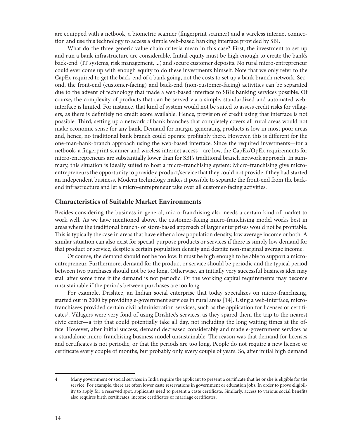are equipped with a netbook, a biometric scanner (fingerprint scanner) and a wireless internet connection and use this technology to access a simple web-based banking interface provided by SBI.

What do the three generic value chain criteria mean in this case? First, the investment to set up and run a bank infrastructure are considerable. Initial equity must be high enough to create the bank's back-end (IT systems, risk management, ...) and secure customer deposits. No rural micro-entrepreneur could ever come up with enough equity to do these investments himself. Note that we only refer to the CapEx required to get the back-end of a bank going, not the costs to set up a bank branch network. Second, the front-end (customer-facing) and back-end (non-customer-facing) activities can be separated due to the advent of technology that made a web-based interface to SBI's banking services possible. Of course, the complexity of products that can be served via a simple, standardized and automated webinterface is limited. For instance, that kind of system would not be suited to assess credit risks for villagers, as there is definitely no credit score available. Hence, provision of credit using that interface is not possible. Third, setting up a network of bank branches that completely covers all rural areas would not make economic sense for any bank. Demand for margin-generating products is low in most poor areas and, hence, no traditional bank branch could operate profitably there. However, this is different for the one-man-bank-branch approach using the web-based interface. Since the required investments—for a netbook, a fingerprint scanner and wireless internet access—are low, the CapEx/OpEx requirements for micro-entrepreneurs are substantially lower than for SBI's traditional branch network approach. In summary, this situation is ideally suited to host a micro-franchising system: Micro-franchising give microentrepreneurs the opportunity to provide a product/service that they could not provide if they had started an independent business. Modern technology makes it possible to separate the front-end from the backend infrastructure and let a micro-entrepreneur take over all customer-facing activities.

#### **Characteristics of Suitable Market Environments**

Besides considering the business in general, micro-franchising also needs a certain kind of market to work well. As we have mentioned above, the customer-facing micro-franchising model works best in areas where the traditional branch- or store-based approach of larger enterprises would not be profitable. This is typically the case in areas that have either a low population density, low average income or both. A similar situation can also exist for special-purpose products or services if there is simply low demand for that product or service, despite a certain population density and despite non-marginal average income.

Of course, the demand should not be too low. It must be high enough to be able to support a microentrepreneur. Furthermore, demand for the product or service should be periodic and the typical period between two purchases should not be too long. Otherwise, an initially very successful business idea may stall after some time if the demand is not periodic. Or the working capital requirements may become unsustainable if the periods between purchases are too long.

For example, Drishtee, an Indian social enterprise that today specializes on micro-franchising, started out in 2000 by providing e-government services in rural areas [\[14\].](#page-31-12) Using a web-interface, microfranchisees provided certain civil administration services, such as the application for licenses or certificates<sup>4</sup>. Villagers were very fond of using Drishtee's services, as they spared them the trip to the nearest civic center—a trip that could potentially take all day, not including the long waiting times at the office. However, after initial success, demand decreased considerably and made e-government services as a standalone micro-franchising business model unsustainable. The reason was that demand for licenses and certificates is not periodic, or that the periods are too long. People do not require a new license or certificate every couple of months, but probably only every couple of years. So, after initial high demand

<sup>4</sup> Many government or social services in India require the applicant to present a certificate that he or she is eligible for the service. For example, there are often lower caste reservations in government or education jobs. In order to prove eligibility to apply for a reserved spot, applicants need to present a caste certificate. Similarly, access to various social benefits also requires birth certificates, income certificates or marriage certificates.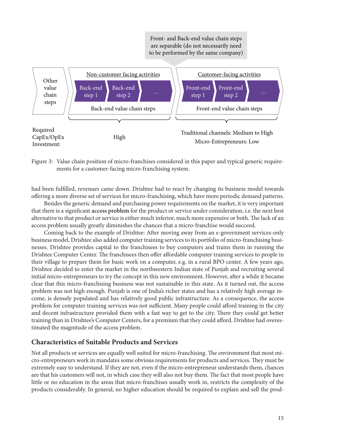

<span id="page-14-0"></span>Figure 3: Value chain position of micro-franchises considered in this paper and typical generic requirements for a customer-facing micro-franchising system.

had been fulfilled, revenues came down. Drishtee had to react by changing its business model towards offering a more diverse set of services for micro-franchising, which have more periodic demand patterns.

Besides the generic demand and purchasing power requirements on the market, it is very important that there is a significant **access problem** for the product or service under consideration, i.e. the next best alternative to that product or service is either much inferior, much more expensive or both. The lack of an access problem usually greatly diminishes the chances that a micro-franchise would succeed.

Coming back to the example of Drishtee: After moving away from an e-government services-only business model, Drishtee also added computer training services to its portfolio of micro-franchising businesses. Drishtee provides capital to the franchisees to buy computers and trains them in running the Drishtee Computer Center. The franchisees then offer affordable computer training services to people in their village to prepare them for basic work on a computer, e.g. in a rural BPO center. A few years ago, Drishtee decided to enter the market in the northwestern Indian state of Punjab and recruiting several initial micro-entrepreneurs to try the concept in this new environment. However, after a while it became clear that this micro-franchising business was not sustainable in this state. As it turned out, the access problem was not high enough. Punjab is one of India's richer states and has a relatively high average income, is densely populated and has relatively good public infrastructure. As a consequence, the access problem for computer training services was not sufficient. Many people could afford training in the city and decent infrastructure provided them with a fast way to get to the city. There they could get better training than in Drishtee's Computer Centers, for a premium that they could afford. Drishtee had overestimated the magnitude of the access problem.

## **Characteristics of Suitable Products and Services**

Not all products or services are equally well suited for micro-franchising. The environment that most micro-entrepreneurs work in mandates some obvious requirements for products and services. They must be extremely easy to understand. If they are not, even if the micro-entrepreneur understands them, chances are that his customers will not, in which case they will also not buy them. The fact that most people have little or no education in the areas that micro-franchises usually work in, restricts the complexity of the products considerably. In general, no higher education should be required to explain and sell the prod-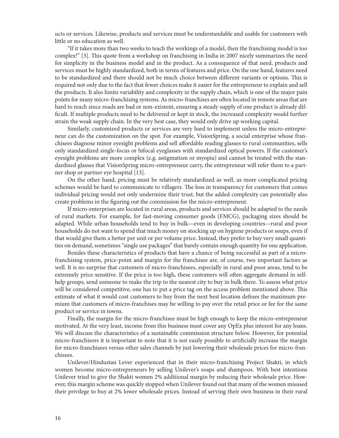ucts or services. Likewise, products and services must be understandable and usable for customers with little or no education as well.

"If it takes more than two weeks to teach the workings of a model, then the franchising model is too complex!" [\[3\].](#page-31-3) This quote from a workshop on franchising in India in 2007 nicely summarizes the need for simplicity in the business model and in the product. As a consequence of that need, products and services must be highly standardized, both in terms of features and price. On the one hand, features need to be standardized and there should not be much choice between different variants or options. This is required not only due to the fact that fewer choices make it easier for the entrepreneur to explain and sell the products. It also limits variability and complexity in the supply chain, which is one of the major pain points for many micro-franchising systems. As micro-franchises are often located in remote areas that are hard to reach since roads are bad or non-existent, ensuring a steady supply of one product is already difficult. If multiple products need to be delivered or kept in stock, the increased complexity would further strain the weak supply chain. In the very best case, they would only drive up working capital.

Similarly, customized products or services are very hard to implement unless the micro-entrepreneur can do the customization on the spot. For example, VisionSpring, a social enterprise whose franchisees diagnose minor eyesight problems and sell affordable reading glasses to rural communities, sells only standardized single-focus or bifocal eyeglasses with standardized optical powers. If the customer's eyesight problems are more complex (e.g. astigmatism or myopia) and cannot be treated with the standardized glasses that VisionSpring micro-entrepreneur carry, the entrepreneur will refer them to a partner shop or partner eye hospital [\[13\].](#page-31-13)

On the other hand, pricing must be relatively standardized as well, as more complicated pricing schemes would be hard to communicate to villagers. The loss in transparency for customers that comes individual pricing would not only undermine their trust, but the added complexity can potentially also create problems in the figuring out the commission for the micro-entrepreneur.

If micro-enterprises are located in rural areas, products and services should be adapted to the needs of rural markets. For example, for fast-moving consumer goods (FMCG), packaging sizes should be adapted. While urban households tend to buy in bulk—even in developing countries—rural and poor households do not want to spend that much money on stocking up on hygiene products or soups, even if that would give them a better per unit or per volume price. Instead, they prefer to buy very small quantities on demand, sometimes "single use packages" that barely contain enough quantity for one application.

Besides these characteristics of products that have a chance of being successful as part of a microfranchising system, price-point and margin for the franchisee are, of course, two important factors as well. It is no surprise that customers of micro-franchisees, especially in rural and poor areas, tend to be extremely price-sensitive. If the price is too high, these customers will often aggregate demand in selfhelp groups, send someone to make the trip to the nearest city to buy in bulk there. To assess what price will be considered competitive, one has to put a price tag on the access problem mentioned above. This estimate of what it would cost customers to buy from the next best location defines the maximum premium that customers of micro-franchises may be willing to pay over the retail price or fee for the same product or service in towns.

Finally, the margin for the micro-franchisee must be high enough to keep the micro-entrepreneur motivated. At the very least, income from this business must cover any OpEx plus interest for any loans. We will discuss the characteristics of a sustainable commission structure below. However, for potential micro-franchisors it is important to note that it is not easily possible to artificially increase the margin for micro-franchisees versus other sales channels by just lowering their wholesale prices for micro-franchisees.

Unilever/Hindustan Lever experienced that in their micro-franchising Project Shakti, in which women become micro-entrepreneurs by selling Unilever's soaps and shampoos. With best intentions Unilever tried to give the Shakti women 2% additional margin by reducing their wholesale price. However, this margin scheme was quickly stopped when Unilever found out that many of the women misused their privilege to buy at 2% lower wholesale prices. Instead of serving their own business in their rural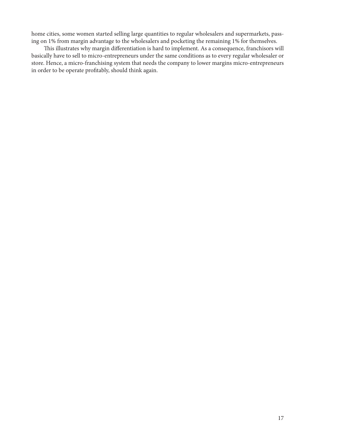home cities, some women started selling large quantities to regular wholesalers and supermarkets, passing on 1% from margin advantage to the wholesalers and pocketing the remaining 1% for themselves.

This illustrates why margin differentiation is hard to implement. As a consequence, franchisors will basically have to sell to micro-entrepreneurs under the same conditions as to every regular wholesaler or store. Hence, a micro-franchising system that needs the company to lower margins micro-entrepreneurs in order to be operate profitably, should think again.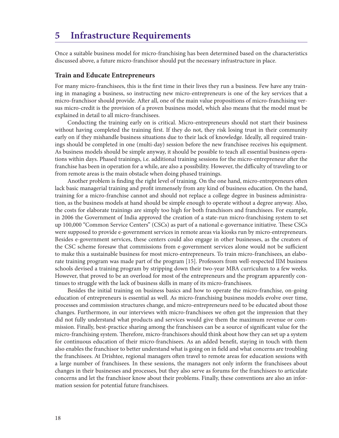## <span id="page-17-0"></span>**5 Infrastructure Requirements**

Once a suitable business model for micro-franchising has been determined based on the characteristics discussed above, a future micro-franchisor should put the necessary infrastructure in place.

#### **Train and Educate Entrepreneurs**

For many micro-franchisees, this is the first time in their lives they run a business. Few have any training in managing a business, so instructing new micro-entrepreneurs is one of the key services that a micro-franchisor should provide. After all, one of the main value propositions of micro-franchising versus micro-credit is the provision of a proven business model, which also means that the model must be explained in detail to all micro-franchisees.

Conducting the training early on is critical. Micro-entrepreneurs should not start their business without having completed the training first. If they do not, they risk losing trust in their community early on if they mishandle business situations due to their lack of knowledge. Ideally, all required trainings should be completed in one (multi-day) session before the new franchisee receives his equipment. As business models should be simple anyway, it should be possible to teach all essential business operations within days. Phased trainings, i.e. additional training sessions for the micro-entrepreneur after the franchise has been in operation for a while, are also a possibility. However, the difficulty of traveling to or from remote areas is the main obstacle when doing phased trainings.

Another problem is finding the right level of training. On the one hand, micro-entrepreneurs often lack basic managerial training and profit immensely from any kind of business education. On the hand, training for a micro-franchise cannot and should not replace a college degree in business administration, as the business models at hand should be simple enough to operate without a degree anyway. Also, the costs for elaborate trainings are simply too high for both franchisors and franchisees. For example, in 2006 the Government of India approved the creation of a state-run micro-franchising system to set up 100,000 "Common Service Centers" (CSCs) as part of a national e-governance initiative. These CSCs were supposed to provide e-government services in remote areas via kiosks run by micro-entrepreneurs. Besides e-government services, these centers could also engage in other businesses, as the creators of the CSC scheme foresaw that commissions from e-government services alone would not be sufficient to make this a sustainable business for most micro-entrepreneurs. To train micro-franchisees, an elaborate training program was made part of the program [\[15\].](#page-31-14) Professors from well-respected IIM business schools devised a training program by stripping down their two-year MBA curriculum to a few weeks. However, that proved to be an overload for most of the entrepreneurs and the program apparently continues to struggle with the lack of business skills in many of its micro-franchisees.

Besides the initial training on business basics and how to operate the micro-franchise, on-going education of entrepreneurs is essential as well. As micro-franchising business models evolve over time, processes and commission structures change, and micro-entrepreneurs need to be educated about those changes. Furthermore, in our interviews with micro-franchisees we often got the impression that they did not fully understand what products and services would give them the maximum revenue or commission. Finally, best-practice sharing among the franchisees can be a source of significant value for the micro-franchising system. Therefore, micro-franchisors should think about how they can set up a system for continuous education of their micro-franchisees. As an added benefit, staying in touch with them also enables the franchisor to better understand what is going on in field and what concerns are troubling the franchisees. At Drishtee, regional managers often travel to remote areas for education sessions with a large number of franchisees. In these sessions, the managers not only inform the franchisees about changes in their businesses and processes, but they also serve as forums for the franchisees to articulate concerns and let the franchisor know about their problems. Finally, these conventions are also an information session for potential future franchisees.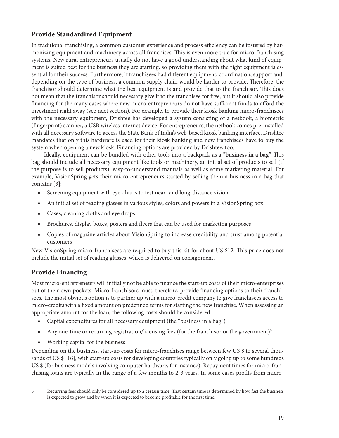## **Provide Standardized Equipment**

In traditional franchising, a common customer experience and process efficiency can be fostered by harmonizing equipment and machinery across all franchises. This is even more true for micro-franchising systems. New rural entrepreneurs usually do not have a good understanding about what kind of equipment is suited best for the business they are starting, so providing them with the right equipment is essential for their success. Furthermore, if franchisees had different equipment, coordination, support and, depending on the type of business, a common supply chain would be harder to provide. Therefore, the franchisor should determine what the best equipment is and provide that to the franchisor. This does not mean that the franchisor should necessary give it to the franchisee for free, but it should also provide financing for the many cases where new micro-entrepreneurs do not have sufficient funds to afford the investment right away (see next section). For example, to provide their kiosk banking micro-franchisees with the necessary equipment, Drishtee has developed a system consisting of a netbook, a biometric (fingerprint) scanner, a USB wireless internet device. For entrepreneurs, the netbook comes pre-installed with all necessary software to access the State Bank of India's web-based kiosk banking interface. Drishtee mandates that only this hardware is used for their kiosk banking and new franchisees have to buy the system when opening a new kiosk. Financing options are provided by Drishtee, too.

Ideally, equipment can be bundled with other tools into a backpack as a "**business in a bag**". This bag should include all necessary equipment like tools or machinery, an initial set of products to sell (if the purpose is to sell products), easy-to-understand manuals as well as some marketing material. For example, VisionSpring gets their micro-entrepreneurs started by selling them a business in a bag that contains [\[3\]](#page-31-3):

- Screening equipment with eye-charts to test near- and long-distance vision
- An initial set of reading glasses in various styles, colors and powers in a VisionSpring box
- Cases, cleaning cloths and eye drops
- Brochures, display boxes, posters and flyers that can be used for marketing purposes
- Copies of magazine articles about VisionSpring to increase credibility and trust among potential customers

New VisionSpring micro-franchisees are required to buy this kit for about US \$12. This price does not include the initial set of reading glasses, which is delivered on consignment.

## **Provide Financing**

Most micro-entrepreneurs will initially not be able to finance the start-up costs of their micro-enterprises out of their own pockets. Micro-franchisors must, therefore, provide financing options to their franchisees. The most obvious option is to partner up with a micro-credit company to give franchisees access to micro-credits with a fixed amount on predefined terms for starting the new franchise. When assessing an appropriate amount for the loan, the following costs should be considered:

- Capital expenditures for all necessary equipment (the "business in a bag")
- Any one-time or recurring registration/licensing fees (for the franchisor or the government)<sup>5</sup>
- Working capital for the business

Depending on the business, start-up costs for micro-franchises range between few US \$ to several thousands of US \$ [\[16\],](#page-31-15) with start-up costs for developing countries typically only going up to some hundreds US \$ (for business models involving computer hardware, for instance). Repayment times for micro-franchising loans are typically in the range of a few months to 2-3 years. In some cases profits from micro-

<sup>5</sup> Recurring fees should only be considered up to a certain time. That certain time is determined by how fast the business is expected to grow and by when it is expected to become profitable for the first time.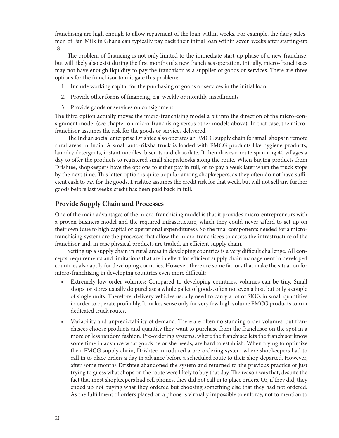franchising are high enough to allow repayment of the loan within weeks. For example, the dairy salesmen of Fan Milk in Ghana can typically pay back their initial loan within seven weeks after starting-up [\[8\]](#page-31-8).

The problem of financing is not only limited to the immediate start-up phase of a new franchise, but will likely also exist during the first months of a new franchises operation. Initially, micro-franchisees may not have enough liquidity to pay the franchisor as a supplier of goods or services. There are three options for the franchisor to mitigate this problem:

- 1. Include working capital for the purchasing of goods or services in the initial loan
- 2. Provide other forms of financing, e.g. weekly or monthly installments
- 3. Provide goods or services on consignment

The third option actually moves the micro-franchising model a bit into the direction of the micro-consignment model (see chapter on micro-franchising versus other models above). In that case, the microfranchisor assumes the risk for the goods or services delivered.

The Indian social enterprise Drishtee also operates an FMCG supply chain for small shops in remote rural areas in India. A small auto-riksha truck is loaded with FMCG products like hygiene products, laundry detergents, instant noodles, biscuits and chocolate. It then drives a route spanning 40 villages a day to offer the products to registered small shops/kiosks along the route. When buying products from Drishtee, shopkeepers have the options to either pay in full, or to pay a week later when the truck stops by the next time. This latter option is quite popular among shopkeepers, as they often do not have sufficient cash to pay for the goods. Drishtee assumes the credit risk for that week, but will not sell any further goods before last week's credit has been paid back in full.

## **Provide Supply Chain and Processes**

One of the main advantages of the micro-franchising model is that it provides micro-entrepreneurs with a proven business model and the required infrastructure, which they could never afford to set up on their own (due to high capital or operational expenditures). So the final components needed for a microfranchising system are the processes that allow the micro-franchisees to access the infrastructure of the franchisor and, in case physical products are traded, an efficient supply chain.

Setting up a supply chain in rural areas in developing countries is a very difficult challenge. All concepts, requirements and limitations that are in effect for efficient supply chain management in developed countries also apply for developing countries. However, there are some factors that make the situation for micro-franchising in developing countries even more difficult:

- Extremely low order volumes: Compared to developing countries, volumes can be tiny. Small shops or stores usually do purchase a whole pallet of goods, often not even a box, but only a couple of single units. Therefore, delivery vehicles usually need to carry a lot of SKUs in small quantities in order to operate profitably. It makes sense only for very few high volume FMCG products to run dedicated truck routes.
- Variability and unpredictability of demand: There are often no standing order volumes, but franchisees choose products and quantity they want to purchase from the franchisor on the spot in a more or less random fashion. Pre-ordering systems, where the franchisee lets the franchisor know some time in advance what goods he or she needs, are hard to establish. When trying to optimize their FMCG supply chain, Drishtee introduced a pre-ordering system where shopkeepers had to call in to place orders a day in advance before a scheduled route to their shop departed. However, after some months Drishtee abandoned the system and returned to the previous practice of just trying to guess what shops on the route were likely to buy that day. The reason was that, despite the fact that most shopkeepers had cell phones, they did not call in to place orders. Or, if they did, they ended up not buying what they ordered but choosing something else that they had not ordered. As the fulfillment of orders placed on a phone is virtually impossible to enforce, not to mention to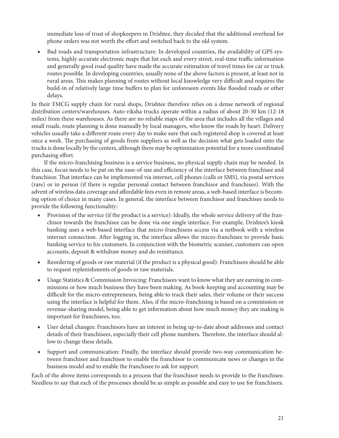immediate loss of trust of shopkeepers in Drishtee, they decided that the additional overhead for phone orders was not worth the effort and switched back to the old system.

Bad roads and transportation infrastructure: In developed countries, the availability of GPS systems, highly accurate electronic maps that list each and every street, real-time traffic information and generally good road quality have made the accurate estimation of travel times for car or truck routes possible. In developing countries, usually none of the above factors is present, at least not in rural areas. This makes planning of routes without local knowledge very difficult and requires the build-in of relatively large time buffers to plan for unforeseen events like flooded roads or other delays.

In their FMCG supply chain for rural shops, Drishtee therefore relies on a dense network of regional distribution centers/warehouses. Auto-riksha trucks operate within a radius of about 20-30 km (12-18 miles) from these warehouses. As there are no reliable maps of the area that includes all the villages and small roads, route planning is done manually by local managers, who know the roads by heart. Delivery vehicles usually take a different route every day to make sure that each registered shop is covered at least once a week. The purchasing of goods from suppliers as well as the decision what gets loaded onto the trucks is done locally by the centers, although there may be optimization potential for a more coordinated purchasing effort.

If the micro-franchising business is a service business, no physical supply chain may be needed. In this case, focus needs to be put on the ease-of-use and efficiency of the interface between franchisee and franchisor. That interface can be implemented via internet, cell phones (calls or SMS), via postal services (rare) or in person (if there is regular personal contact between franchisor and franchisee). With the advent of wireless data coverage and affordable fees even in remote areas, a web-based interface is becoming option of choice in many cases. In general, the interface between franchisor and franchisee needs to provide the following functionality:

- Provision of the service (if the product is a service): Ideally, the whole service delivery of the franchisor towards the franchisee can be done via one single interface. For example, Drishtee's kiosk banking uses a web-based interface that micro-franchisees access via a netbook with a wireless internet connection. After logging in, the interface allows the micro-franchisee to provide basic banking service to his customers. In conjunction with the biometric scanner, customers can open accounts, deposit & withdraw money and do remittance.
- Reordering of goods or raw material (if the product is a physical good): Franchisees should be able to request replenishments of goods or raw materials.
- Usage Statistics  $\&$  Commission Invoicing: Franchisees want to know what they are earning in commissions or how much business they have been making. As book-keeping and accounting may be difficult for the micro-entrepreneurs, being able to track their sales, their volume or their success using the interface is helpful for them. Also, if the micro-franchising is based on a commission or revenue-sharing model, being able to get information about how much money they are making is important for franchisees, too.
- User detail changes: Franchisors have an interest in being up-to-date about addresses and contact details of their franchisees, especially their cell phone numbers. Therefore, the interface should allow to change these details.
- Support and communication: Finally, the interface should provide two-way communication between franchisee and franchisor to enable the franchisor to communicate news or changes in the business model and to enable the franchisee to ask for support.

Each of the above items corresponds to a process that the franchisor needs to provide to the franchisee. Needless to say that each of the processes should be as simple as possible and easy to use for franchisees.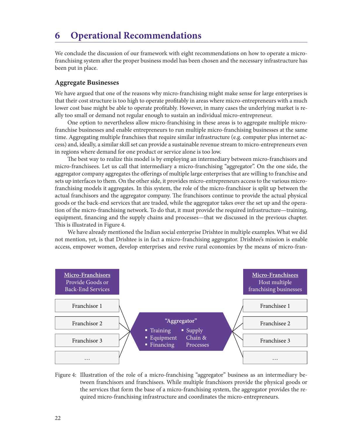# <span id="page-21-0"></span>**6 Operational Recommendations**

We conclude the discussion of our framework with eight recommendations on how to operate a microfranchising system after the proper business model has been chosen and the necessary infrastructure has been put in place.

#### **Aggregate Businesses**

We have argued that one of the reasons why micro-franchising might make sense for large enterprises is that their cost structure is too high to operate profitably in areas where micro-entrepreneurs with a much lower cost base might be able to operate profitably. However, in many cases the underlying market is really too small or demand not regular enough to sustain an individual micro-entrepreneur.

One option to nevertheless allow micro-franchising in these areas is to aggregate multiple microfranchise businesses and enable entrepreneurs to run multiple micro-franchising businesses at the same time. Aggregating multiple franchises that require similar infrastructure (e.g. computer plus internet access) and, ideally, a similar skill set can provide a sustainable revenue stream to micro-entrepreneurs even in regions where demand for one product or service alone is too low.

The best way to realize this model is by employing an intermediary between micro-franchisors and micro-franchisees. Let us call that intermediary a micro-franchising "aggregator". On the one side, the aggregator company aggregates the offerings of multiple large enterprises that are willing to franchise and sets up interfaces to them. On the other side, it provides micro-entrepreneurs access to the various microfranchising models it aggregates. In this system, the role of the micro-franchisor is split up between the actual franchisors and the aggregator company. The franchisors continue to provide the actual physical goods or the back-end services that are traded, while the aggregator takes over the set up and the operation of the micro-franchising network. To do that, it must provide the required infrastructure—training, equipment, financing and the supply chains and processes—that we discussed in the previous chapter. This is illustrated in [Figure 4](#page-21-1).

We have already mentioned the Indian social enterprise Drishtee in multiple examples. What we did not mention, yet, is that Drishtee is in fact a micro-franchising aggregator. Drishtee's mission is enable access, empower women, develop enterprises and revive rural economies by the means of micro-fran-



<span id="page-21-1"></span>Figure 4: Illustration of the role of a micro-franchising "aggregator" business as an intermediary between franchisors and franchisees. While multiple franchisors provide the physical goods or the services that form the base of a micro-franchising system, the aggregator provides the required micro-franchising infrastructure and coordinates the micro-entrepreneurs.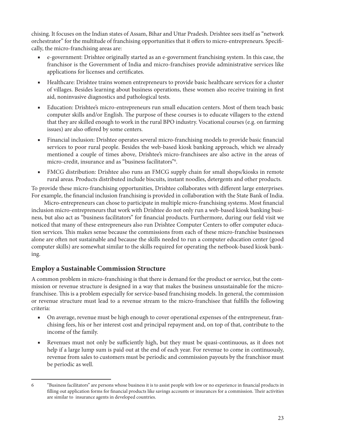chising. It focuses on the Indian states of Assam, Bihar and Uttar Pradesh. Drishtee sees itself as "network orchestrator" for the multitude of franchising opportunities that it offers to micro-entrepreneurs. Specifically, the micro-franchising areas are:

- e-government: Drishtee originally started as an e-government franchising system. In this case, the franchisor is the Government of India and micro-franchises provide administrative services like applications for licenses and certificates.
- Healthcare: Drishtee trains women entrepreneurs to provide basic healthcare services for a cluster of villages. Besides learning about business operations, these women also receive training in first aid, noninvasive diagnostics and pathological tests.
- Education: Drishtee's micro-entrepreneurs run small education centers. Most of them teach basic computer skills and/or English. The purpose of these courses is to educate villagers to the extend that they are skilled enough to work in the rural BPO industry. Vocational courses (e.g. on farming issues) are also offered by some centers.
- Financial inclusion: Drishtee operates several micro-franchising models to provide basic financial services to poor rural people. Besides the web-based kiosk banking approach, which we already mentioned a couple of times above, Drishtee's micro-franchisees are also active in the areas of micro-credit, insurance and as "business facilitators"6 .
- FMCG distribution: Drishtee also runs an FMCG supply chain for small shops/kiosks in remote rural areas. Products distributed include biscuits, instant noodles, detergents and other products.

To provide these micro-franchising opportunities, Drishtee collaborates with different large enterprises. For example, the financial inclusion franchising is provided in collaboration with the State Bank of India.

Micro-entrepreneurs can chose to participate in multiple micro-franchising systems. Most financial inclusion micro-entrepreneurs that work with Drishtee do not only run a web-based kiosk banking business, but also act as "business facilitators" for financial products. Furthermore, during our field visit we noticed that many of these entrepreneurs also run Drishtee Computer Centers to offer computer education services. This makes sense because the commissions from each of these micro-franchise businesses alone are often not sustainable and because the skills needed to run a computer education center (good computer skills) are somewhat similar to the skills required for operating the netbook-based kiosk banking.

## **Employ a Sustainable Commission Structure**

A common problem in micro-franchising is that there is demand for the product or service, but the commission or revenue structure is designed in a way that makes the business unsustainable for the microfranchisee. This is a problem especially for service-based franchising models. In general, the commission or revenue structure must lead to a revenue stream to the micro-franchisee that fulfills the following criteria:

- On average, revenue must be high enough to cover operational expenses of the entrepreneur, franchising fees, his or her interest cost and principal repayment and, on top of that, contribute to the income of the family.
- Revenues must not only be sufficiently high, but they must be quasi-continuous, as it does not help if a large lump sum is paid out at the end of each year. For revenue to come in continuously, revenue from sales to customers must be periodic and commission payouts by the franchisor must be periodic as well.

<sup>6</sup> "Business facilitators" are persons whose business it is to assist people with low or no experience in financial products in filling out application forms for financial products like savings accounts or insurances for a commission. Their activities are similar to insurance agents in developed countries.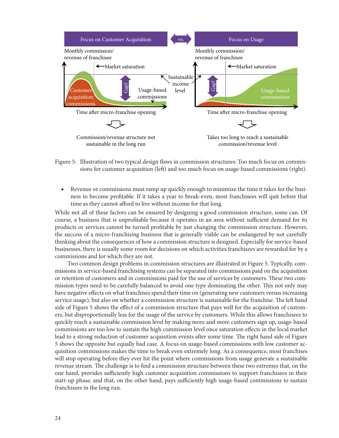

<span id="page-23-0"></span>Figure 5: Illustration of two typical design flaws in commission structures: Too much focus on commissions for customer acquisition (left) and too much focus on usage-based commissions (right).

■ Revenue or commissions must ramp up quickly enough to minimize the time it takes for the business to become profitable. If it takes a year to break-even, most franchisees will quit before that time as they cannot afford to live without income for that long.

While not all of these factors can be ensured by designing a good commission structure, some can. Of course, a business that is unprofitable because it operates in an area without sufficient demand for its products or services cannot be turned profitable by just changing the commission structure. However, the success of a micro-franchising business that is generally viable can be endangered by not carefully thinking about the consequences of how a commission structure is designed. Especially for service-based businesses, there is usually some room for decisions on which activities franchisees are rewarded for by a commissions and for which they are not.

Two common design problems in commission structures are illustrated in [Figure 5](#page-23-0). Typically, commissions in service-based franchising systems can be separated into commissions paid on the acquisition or retention of customers and in commissions paid for the use of services by customers. These two commission types need to be carefully balanced to avoid one type dominating the other. This not only may have negative effects on what franchises spend their time on (generating new customers versus increasing service usage), but also on whether a commission structure is sustainable for the franchise. The left hand side of [Figure 5](#page-23-0) shows the effect of a commission structure that pays well for the acquisition of customers, but disproportionally less for the usage of the service by customers. While this allows franchisees to quickly reach a sustainable commission level by making more and more customers sign up, usage-based commissions are too low to sustain the high commission level once saturation effects in the local market lead to a strong reduction of customer acquisition events after some time. The right hand side of [Figure](#page-23-0) [5](#page-23-0) shows the opposite but equally bad case. A focus on usage-based commissions with low customer acquisition commissions makes the time to break even extremely long. As a consequence, most franchises will stop operating before they ever hit the point where commissions from usage generate a sustainable revenue stream. The challenge is to find a commission structure between these two extremes that, on the one hand, provides sufficiently high customer acquisition commissions to support franchisees in their start-up phase, and that, on the other hand, pays sufficiently high usage-based commissions to sustain franchisees in the long run.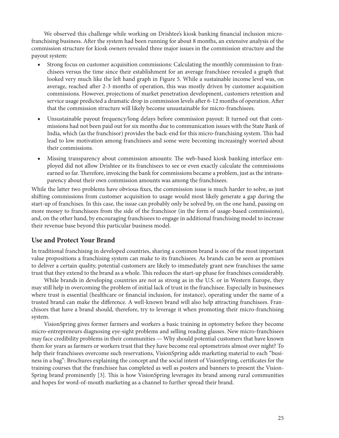We observed this challenge while working on Drishtee's kiosk banking financial inclusion microfranchising business. After the system had been running for about 8 months, an extensive analysis of the commission structure for kiosk owners revealed three major issues in the commission structure and the payout system:

- Strong focus on customer acquisition commissions: Calculating the monthly commission to franchisees versus the time since their establishment for an average franchisee revealed a graph that looked very much like the left hand graph in [Figure 5.](#page-23-0) While a sustainable income level was, on average, reached after 2-3 months of operation, this was mostly driven by customer acquisition commissions. However, projections of market penetration development, customers retention and service usage predicted a dramatic drop in commission levels after 6-12 months of operation. After that the commission structure will likely become unsustainable for micro-franchisees.
- Unsustainable payout frequency/long delays before commission payout: It turned out that commissions had not been paid out for six months due to communication issues with the State Bank of India, which (as the franchisor) provides the back-end for this micro-franchising system. This had lead to low motivation among franchisees and some were becoming increasingly worried about their commissions.
- Missing transparency about commission amounts: The web-based kiosk banking interface employed did not allow Drishtee or its franchisees to see or even exactly calculate the commissions earned so far. Therefore, invoicing the bank for commissions became a problem, just as the intransparency about their own commission amounts was among the franchisees.

While the latter two problems have obvious fixes, the commission issue is much harder to solve, as just shifting commissions from customer acquisition to usage would most likely generate a gap during the start-up of franchises. In this case, the issue can probably only be solved by, on the one hand, passing on more money to franchisees from the side of the franchisor (in the form of usage-based commissions), and, on the other hand, by encouraging franchisees to engage in additional franchising model to increase their revenue base beyond this particular business model.

### **Use and Protect Your Brand**

In traditional franchising in developed countries, sharing a common brand is one of the most important value propositions a franchising system can make to its franchisees. As brands can be seen as promises to deliver a certain quality, potential customers are likely to immediately grant new franchises the same trust that they extend to the brand as a whole. This reduces the start-up phase for franchises considerably.

While brands in developing countries are not as strong as in the U.S. or in Western Europe, they may still help in overcoming the problem of initial lack of trust in the franchisee. Especially in businesses where trust is essential (healthcare or financial inclusion, for instance), operating under the name of a trusted brand can make the difference. A well-known brand will also help attracting franchisees. Franchisors that have a brand should, therefore, try to leverage it when promoting their micro-franchising system.

VisionSpring gives former farmers and workers a basic training in optometry before they become micro-entrepreneurs diagnosing eye-sight problems and selling reading glasses. New micro-franchisees may face credibility problems in their communities — Why should potential customers that have known them for years as farmers or workers trust that they have become real optometrists almost over night? To help their franchisees overcome such reservations, VisionSpring adds marketing material to each "business in a bag": Brochures explaining the concept and the social intent of VisionSpring, certificates for the training courses that the franchisee has completed as well as posters and banners to present the Vision-Spring brand prominently [\[3\]](#page-31-3). This is how VisionSpring leverages its brand among rural communities and hopes for word-of-mouth marketing as a channel to further spread their brand.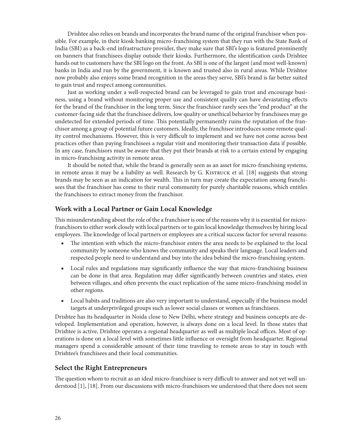Drishtee also relies on brands and incorporates the brand name of the original franchisor when possible. For example, in their kiosk banking micro-franchising system that they run with the State Bank of India (SBI) as a back-end infrastructure provider, they make sure that SBI's logo is featured prominently on banners that franchisees display outside their kiosks. Furthermore, the identification cards Drishtee hands out to customers have the SBI logo on the front. As SBI is one of the largest (and most well-known) banks in India and run by the government, it is known and trusted also in rural areas. While Drishtee now probably also enjoys some brand recognition in the areas they serve, SBI's brand is far better suited to gain trust and respect among communities.

Just as working under a well-respected brand can be leveraged to gain trust and encourage business, using a brand without monitoring proper use and consistent quality can have devastating effects for the brand of the franchisor in the long term. Since the franchisor rarely sees the "end product" at the customer-facing side that the franchisee delivers, low quality or unethical behavior by franchisees may go undetected for extended periods of time. This potentially permanently ruins the reputation of the franchisor among a group of potential future customers. Ideally, the franchisee introduces some remote quality control mechanisms. However, this is very difficult to implement and we have not come across best practices other than paying franchisees a regular visit and monitoring their transaction data if possible. In any case, franchisors must be aware that they put their brands at risk to a certain extend by engaging in micro-franchising activity in remote areas.

It should be noted that, while the brand is generally seen as an asset for micro-franchising systems, in remote areas it may be a liability as well. Research by G. KISTRUCK et al. [\[18\]](#page-31-16) suggests that strong brands may be seen as an indication for wealth. This in turn may create the expectation among franchisees that the franchisor has come to their rural community for purely charitable reasons, which entitles the franchisees to extract money from the franchisor.

#### **Work with a Local Partner or Gain Local Knowledge**

This misunderstanding about the role of the a franchisor is one of the reasons why it is essential for microfranchisors to either work closely with local partners or to gain local knowledge themselves by hiring local employees. The knowledge of local partners or employees are a critical success factor for several reasons:

- The intention with which the micro-franchisor enters the area needs to be explained to the local community by someone who knows the community and speaks their language. Local leaders and respected people need to understand and buy into the idea behind the micro-franchising system.
- Local rules and regulations may significantly influence the way that micro-franchising business can be done in that area. Regulation may differ significantly between countries and states, even between villages, and often prevents the exact replication of the same micro-franchising model in other regions.
- Local habits and traditions are also very important to understand, especially if the business model targets at underprivileged groups such as lower social classes or women as franchisees.

Drishtee has its headquarter in Noida close to New Delhi, where strategy and business concepts are developed. Implementation and operation, however, is always done on a local level. In those states that Drishtee is active, Drishtee operates a regional headquarter as well as multiple local offices. Most of operations is done on a local level with sometimes little influence or oversight from headquarter. Regional managers spend a considerable amount of their time traveling to remote areas to stay in touch with Drishtee's franchisees and their local communities.

### **Select the Right Entrepreneurs**

The question whom to recruit as an ideal micro-franchisee is very difficult to answer and not yet well understood [\[1\]](#page-31-1), [\[18\]](#page-31-16). From our discussions with micro-franchisors we understood that there does not seem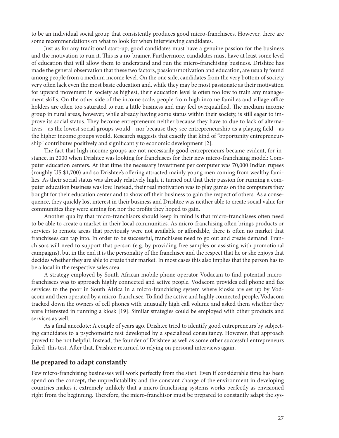to be an individual social group that consistently produces good micro-franchisees. However, there are some recommendations on what to look for when interviewing candidates.

Just as for any traditional start-up, good candidates must have a genuine passion for the business and the motivation to run it. This is a no-brainer. Furthermore, candidates must have at least some level of education that will allow them to understand and run the micro-franchising business. Drishtee has made the general observation that these two factors, passion/motivation and education, are usually found among people from a medium income level. On the one side, candidates from the very bottom of society very often lack even the most basic education and, while they may be most passionate as their motivation for upward movement in society as highest, their education level is often too low to train any management skills. On the other side of the income scale, people from high income families and village office holders are often too saturated to run a little business and may feel overqualified. The medium income group in rural areas, however, while already having some status within their society, is still eager to improve its social status. They become entrepreneurs neither because they have to due to lack of alternatives—as the lowest social groups would—nor because they see entrepreneurship as a playing field—as the higher income groups would. Research suggests that exactly that kind of "opportunity entrepreneurship" contributes positively and significantly to economic development [\[2\].](#page-31-2)

The fact that high income groups are not necessarily good entrepreneurs became evident, for instance, in 2000 when Drishtee was looking for franchisees for their new micro-franchising model: Computer education centers. At that time the necessary investment per computer was 70,000 Indian rupees (roughly US \$1,700) and so Drishtee's offering attracted mainly young men coming from wealthy families. As their social status was already relatively high, it turned out that their passion for running a computer education business was low. Instead, their real motivation was to play games on the computers they bought for their education center and to show off their business to gain the respect of others. As a consequence, they quickly lost interest in their business and Drishtee was neither able to create social value for communities they were aiming for, nor the profits they hoped to gain.

Another quality that micro-franchisors should keep in mind is that micro-franchisees often need to be able to create a market in their local communities. As micro-franchising often brings products or services to remote areas that previously were not available or affordable, there is often no market that franchisees can tap into. In order to be successful, franchisees need to go out and create demand. Franchisors will need to support that person (e.g. by providing free samples or assisting with promotional campaigns), but in the end it is the personality of the franchisee and the respect that he or she enjoys that decides whether they are able to create their market. In most cases this also implies that the person has to be a local in the respective sales area.

A strategy employed by South African mobile phone operator Vodacam to find potential microfranchisees was to approach highly connected and active people. Vodacom provides cell phone and fax services to the poor in South Africa in a micro-franchising system where kiosks are set up by Vodacom and then operated by a micro-franchisee. To find the active and highly connected people, Vodacom tracked down the owners of cell phones with unusually high call volume and asked them whether they were interested in running a kiosk [\[19\].](#page-31-17) Similar strategies could be employed with other products and services as well.

As a final anecdote: A couple of years ago, Drishtee tried to identify good entrepreneurs by subjecting candidates to a psychometric test developed by a specialized consultancy. However, that approach proved to be not helpful. Instead, the founder of Drishtee as well as some other successful entrepreneurs failed this test. After that, Drishtee returned to relying on personal interviews again.

#### **Be prepared to adapt constantly**

Few micro-franchising businesses will work perfectly from the start. Even if considerable time has been spend on the concept, the unpredictability and the constant change of the environment in developing countries makes it extremely unlikely that a micro-franchising systems works perfectly as envisioned right from the beginning. Therefore, the micro-franchisor must be prepared to constantly adapt the sys-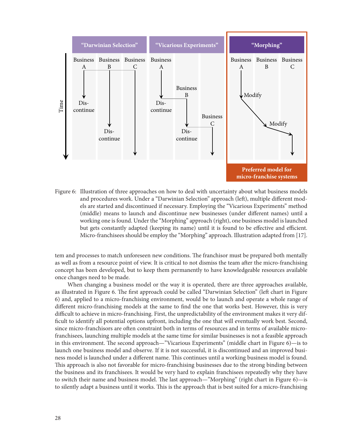

<span id="page-27-0"></span>Figure 6: Illustration of three approaches on how to deal with uncertainty about what business models and procedures work. Under a "Darwinian Selection" approach (left), multiple different models are started and discontinued if necessary. Employing the "Vicarious Experiments" method (middle) means to launch and discontinue new businesses (under different names) until a working one is found. Under the "Morphing" approach (right), one business model is launched but gets constantly adapted (keeping its name) until it is found to be effective and efficient. Micro-franchisees should be employ the "Morphing" approach. Illustration adapted from [\[17\].](#page-31-18)

tem and processes to match unforeseen new conditions. The franchisor must be prepared both mentally as well as from a resource point of view. It is critical to not dismiss the team after the micro-franchising concept has been developed, but to keep them permanently to have knowledgeable resources available once changes need to be made.

When changing a business model or the way it is operated, there are three approaches available, as illustrated in [Figure 6](#page-27-0). The first approach could be called "Darwinian Selection" (left chart in [Figure](#page-27-0) [6](#page-27-0)) and, applied to a micro-franchising environment, would be to launch and operate a whole range of different micro-franchising models at the same to find the one that works best. However, this is very difficult to achieve in micro-franchising. First, the unpredictability of the environment makes it very difficult to identify all potential options upfront, including the one that will eventually work best. Second, since micro-franchisors are often constraint both in terms of resources and in terms of available microfranchisees, launching multiple models at the same time for similar businesses is not a feasible approach in this environment. The second approach—"Vicarious Experiments" (middle chart in [Figure 6](#page-27-0))—is to launch one business model and observe. If it is not successful, it is discontinued and an improved business model is launched under a different name. This continues until a working business model is found. This approach is also not favorable for micro-franchising businesses due to the strong binding between the business and its franchisees. It would be very hard to explain franchisees repeatedly why they have to switch their name and business model. The last approach—"Morphing" (right chart in [Figure 6](#page-27-0))—is to silently adapt a business until it works. This is the approach that is best suited for a micro-franchising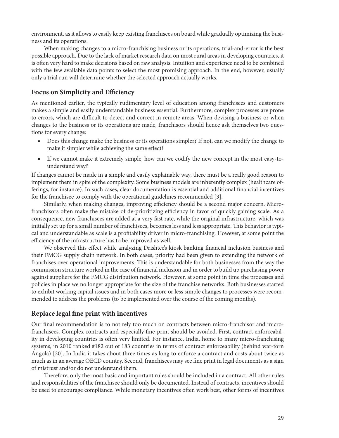environment, as it allows to easily keep existing franchisees on board while gradually optimizing the business and its operations.

When making changes to a micro-franchising business or its operations, trial-and-error is the best possible approach. Due to the lack of market research data on most rural areas in developing countries, it is often very hard to make decisions based on raw analysis. Intuition and experience need to be combined with the few available data points to select the most promising approach. In the end, however, usually only a trial run will determine whether the selected approach actually works.

## **Focus on Simplicity and Efficiency**

As mentioned earlier, the typically rudimentary level of education among franchisees and customers makes a simple and easily understandable business essential. Furthermore, complex processes are prone to errors, which are difficult to detect and correct in remote areas. When devising a business or when changes to the business or its operations are made, franchisors should hence ask themselves two questions for every change:

- Does this change make the business or its operations simpler? If not, can we modify the change to make it simpler while achieving the same effect?
- If we cannot make it extremely simple, how can we codify the new concept in the most easy-tounderstand way?

If changes cannot be made in a simple and easily explainable way, there must be a really good reason to implement them in spite of the complexity. Some business models are inherently complex (healthcare offerings, for instance). In such cases, clear documentation is essential and additional financial incentives for the franchisee to comply with the operational guidelines recommended [\[3\].](#page-31-3)

Similarly, when making changes, improving efficiency should be a second major concern. Microfranchisors often make the mistake of de-prioritizing efficiency in favor of quickly gaining scale. As a consequence, new franchisees are added at a very fast rate, while the original infrastructure, which was initially set up for a small number of franchisees, becomes less and less appropriate. This behavior is typical and understandable as scale is a profitability driver in micro-franchising. However, at some point the efficiency of the infrastructure has to be improved as well.

We observed this effect while analyzing Drishtee's kiosk banking financial inclusion business and their FMCG supply chain network. In both cases, priority had been given to extending the network of franchises over operational improvements. This is understandable for both businesses from the way the commission structure worked in the case of financial inclusion and in order to build up purchasing power against suppliers for the FMCG distribution network. However, at some point in time the processes and policies in place we no longer appropriate for the size of the franchise networks. Both businesses started to exhibit working capital issues and in both cases more or less simple changes to processes were recommended to address the problems (to be implemented over the course of the coming months).

## **Replace legal fine print with incentives**

Our final recommendation is to not rely too much on contracts between micro-franchisor and microfranchisees. Complex contracts and especially fine-print should be avoided. First, contract enforceability in developing countries is often very limited. For instance, India, home to many micro-franchising systems, in 2010 ranked #182 out of 183 countries in terms of contract enforceability (behind war-torn Angola) [\[20\].](#page-31-19) In India it takes about three times as long to enforce a contract and costs about twice as much as in an average OECD country. Second, franchisees may see fine print in legal documents as a sign of mistrust and/or do not understand them.

Therefore, only the most basic and important rules should be included in a contract. All other rules and responsibilities of the franchisee should only be documented. Instead of contracts, incentives should be used to encourage compliance. While monetary incentives often work best, other forms of incentives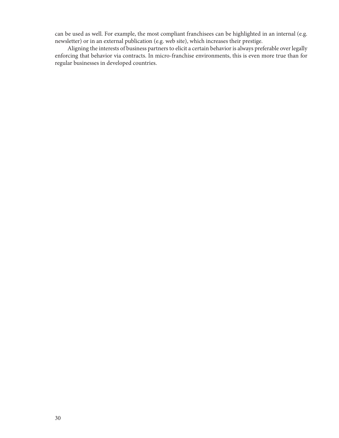can be used as well. For example, the most compliant franchisees can be highlighted in an internal (e.g. newsletter) or in an external publication (e.g. web site), which increases their prestige.

Aligning the interests of business partners to elicit a certain behavior is always preferable over legally enforcing that behavior via contracts. In micro-franchise environments, this is even more true than for regular businesses in developed countries.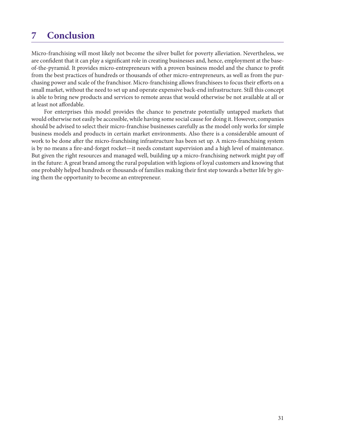# <span id="page-30-0"></span>**7 Conclusion**

Micro-franchising will most likely not become the silver bullet for poverty alleviation. Nevertheless, we are confident that it can play a significant role in creating businesses and, hence, employment at the baseof-the-pyramid. It provides micro-entrepreneurs with a proven business model and the chance to profit from the best practices of hundreds or thousands of other micro-entrepreneurs, as well as from the purchasing power and scale of the franchisor. Micro-franchising allows franchisees to focus their efforts on a small market, without the need to set up and operate expensive back-end infrastructure. Still this concept is able to bring new products and services to remote areas that would otherwise be not available at all or at least not affordable.

For enterprises this model provides the chance to penetrate potentially untapped markets that would otherwise not easily be accessible, while having some social cause for doing it. However, companies should be advised to select their micro-franchise businesses carefully as the model only works for simple business models and products in certain market environments. Also there is a considerable amount of work to be done after the micro-franchising infrastructure has been set up. A micro-franchising system is by no means a fire-and-forget rocket—it needs constant supervision and a high level of maintenance. But given the right resources and managed well, building up a micro-franchising network might pay off in the future: A great brand among the rural population with legions of loyal customers and knowing that one probably helped hundreds or thousands of families making their first step towards a better life by giving them the opportunity to become an entrepreneur.